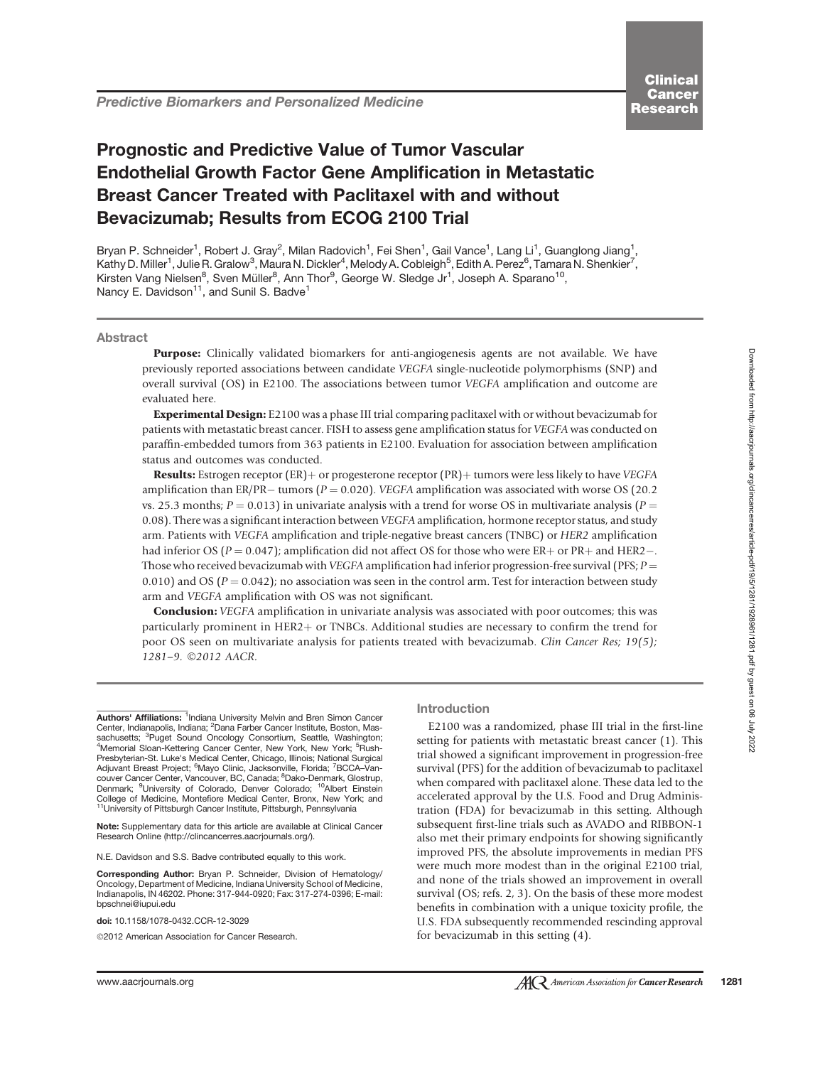# Clinical Cancer Research

# Prognostic and Predictive Value of Tumor Vascular Endothelial Growth Factor Gene Amplification in Metastatic Breast Cancer Treated with Paclitaxel with and without Bevacizumab; Results from ECOG 2100 Trial

Bryan P. Schneider<sup>1</sup>, Robert J. Gray<sup>2</sup>, Milan Radovich<sup>1</sup>, Fei Shen<sup>1</sup>, Gail Vance<sup>1</sup>, Lang Li<sup>1</sup>, Guanglong Jiang<sup>1</sup>, Kathy D. Miller<sup>1</sup>, Julie R. Gralow<sup>3</sup>, Maura N. Dickler<sup>4</sup>, Melody A. Cobleigh<sup>5</sup>, Edith A. Perez<sup>6</sup>, Tamara N. Shenkier<sup>7</sup>, Kirsten Vang Nielsen<sup>8</sup>, Sven Müller<sup>8</sup>, Ann Thor<sup>9</sup>, George W. Sledge Jr<sup>1</sup>, Joseph A. Sparano<sup>10</sup>, Nancy E. Davidson<sup>11</sup>, and Sunil S. Badve<sup>1</sup>

#### Abstract

Purpose: Clinically validated biomarkers for anti-angiogenesis agents are not available. We have previously reported associations between candidate VEGFA single-nucleotide polymorphisms (SNP) and overall survival (OS) in E2100. The associations between tumor VEGFA amplification and outcome are evaluated here.

Experimental Design: E2100 was a phase III trial comparing paclitaxel with or without bevacizumab for patients with metastatic breast cancer. FISH to assess gene amplification status for VEGFA was conducted on paraffin-embedded tumors from 363 patients in E2100. Evaluation for association between amplification status and outcomes was conducted.

Results: Estrogen receptor (ER) + or progesterone receptor (PR) + tumors were less likely to have VEGFA amplification than ER/PR- tumors ( $P = 0.020$ ). VEGFA amplification was associated with worse OS (20.2 vs. 25.3 months;  $P = 0.013$ ) in univariate analysis with a trend for worse OS in multivariate analysis ( $P =$ 0.08). There was a significant interaction between VEGFA amplification, hormone receptor status, and study arm. Patients with VEGFA amplification and triple-negative breast cancers (TNBC) or HER2 amplification had inferior OS ( $P = 0.047$ ); amplification did not affect OS for those who were ER+ or PR+ and HER2-. Those who received bevacizumab with VEGFA amplification had inferior progression-free survival (PFS;  $P =$ 0.010) and OS ( $P = 0.042$ ); no association was seen in the control arm. Test for interaction between study arm and VEGFA amplification with OS was not significant.

**Conclusion:** VEGFA amplification in univariate analysis was associated with poor outcomes; this was particularly prominent in HER2+ or TNBCs. Additional studies are necessary to confirm the trend for poor OS seen on multivariate analysis for patients treated with bevacizumab. Clin Cancer Res; 19(5); 1281-9. ©2012 AACR.

Authors' Affiliations: <sup>1</sup>Indiana University Melvin and Bren Simon Cancer Center, Indianapolis, Indiana; <sup>2</sup>Dana Farber Cancer Institute, Boston, Massachusetts; <sup>3</sup>Puget Sound Oncology Consortium, Seattle, Washington;<br><sup>4</sup>Memorial Sloan-Kettering Cancer Center New York, New York; <sup>5</sup>Bush-Memorial Sloan-Kettering Cancer Center, New York, New York; <sup>5</sup>Rush-Presbyterian-St. Luke's Medical Center, Chicago, Illinois; National Surgical Adjuvant Breast Project; <sup>6</sup>Mayo Clinic, Jacksonville, Florida; <sup>7</sup>BCCA–Van-<br>couver Cancer Center, Vancouver, BC, Canada; <sup>8</sup>Dako-Denmark, Glostrup, Denmark; <sup>9</sup>University of Colorado, Denver Colorado; <sup>10</sup>Albert Einstein College of Medicine, Montefiore Medical Center, Bronx, New York; and 11University of Pittsburgh Cancer Institute, Pittsburgh, Pennsylvania

Note: Supplementary data for this article are available at Clinical Cancer Research Online (http://clincancerres.aacrjournals.org/).

N.E. Davidson and S.S. Badve contributed equally to this work.

Corresponding Author: Bryan P. Schneider, Division of Hematology/ Oncology, Department of Medicine, Indiana University School of Medicine, Indianapolis, IN 46202. Phone: 317-944-0920; Fax: 317-274-0396; E-mail: bpschnei@iupui.edu

doi: 10.1158/1078-0432.CCR-12-3029

2012 American Association for Cancer Research.

### Introduction

E2100 was a randomized, phase III trial in the first-line setting for patients with metastatic breast cancer (1). This trial showed a significant improvement in progression-free survival (PFS) for the addition of bevacizumab to paclitaxel when compared with paclitaxel alone. These data led to the accelerated approval by the U.S. Food and Drug Administration (FDA) for bevacizumab in this setting. Although subsequent first-line trials such as AVADO and RIBBON-1 also met their primary endpoints for showing significantly improved PFS, the absolute improvements in median PFS were much more modest than in the original E2100 trial, and none of the trials showed an improvement in overall survival (OS; refs. 2, 3). On the basis of these more modest benefits in combination with a unique toxicity profile, the U.S. FDA subsequently recommended rescinding approval for bevacizumab in this setting (4).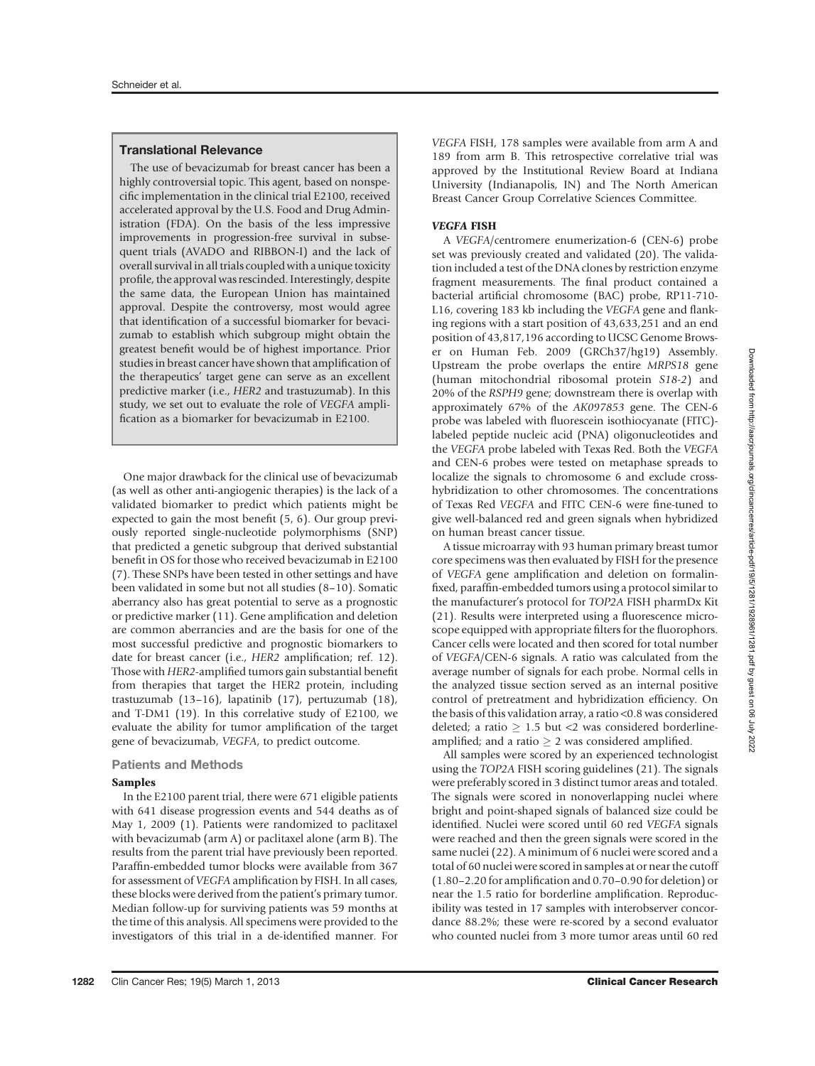### Translational Relevance

The use of bevacizumab for breast cancer has been a highly controversial topic. This agent, based on nonspecific implementation in the clinical trial E2100, received accelerated approval by the U.S. Food and Drug Administration (FDA). On the basis of the less impressive improvements in progression-free survival in subsequent trials (AVADO and RIBBON-I) and the lack of overall survival in all trials coupled with a unique toxicity profile, the approval was rescinded. Interestingly, despite the same data, the European Union has maintained approval. Despite the controversy, most would agree that identification of a successful biomarker for bevacizumab to establish which subgroup might obtain the greatest benefit would be of highest importance. Prior studies in breast cancer have shown that amplification of the therapeutics' target gene can serve as an excellent predictive marker (i.e., HER2 and trastuzumab). In this study, we set out to evaluate the role of VEGFA amplification as a biomarker for bevacizumab in E2100.

One major drawback for the clinical use of bevacizumab (as well as other anti-angiogenic therapies) is the lack of a validated biomarker to predict which patients might be expected to gain the most benefit (5, 6). Our group previously reported single-nucleotide polymorphisms (SNP) that predicted a genetic subgroup that derived substantial benefit in OS for those who received bevacizumab in E2100 (7). These SNPs have been tested in other settings and have been validated in some but not all studies (8–10). Somatic aberrancy also has great potential to serve as a prognostic or predictive marker (11). Gene amplification and deletion are common aberrancies and are the basis for one of the most successful predictive and prognostic biomarkers to date for breast cancer (i.e., HER2 amplification; ref. 12). Those with HER2-amplified tumors gain substantial benefit from therapies that target the HER2 protein, including trastuzumab (13–16), lapatinib (17), pertuzumab (18), and T-DM1 (19). In this correlative study of E2100, we evaluate the ability for tumor amplification of the target gene of bevacizumab, VEGFA, to predict outcome.

#### Patients and Methods

#### Samples

In the E2100 parent trial, there were 671 eligible patients with 641 disease progression events and 544 deaths as of May 1, 2009 (1). Patients were randomized to paclitaxel with bevacizumab (arm A) or paclitaxel alone (arm B). The results from the parent trial have previously been reported. Paraffin-embedded tumor blocks were available from 367 for assessment of VEGFA amplification by FISH. In all cases, these blocks were derived from the patient's primary tumor. Median follow-up for surviving patients was 59 months at the time of this analysis. All specimens were provided to the investigators of this trial in a de-identified manner. For VEGFA FISH, 178 samples were available from arm A and 189 from arm B. This retrospective correlative trial was approved by the Institutional Review Board at Indiana University (Indianapolis, IN) and The North American Breast Cancer Group Correlative Sciences Committee.

#### VEGFA FISH

A VEGFA/centromere enumerization-6 (CEN-6) probe set was previously created and validated (20). The validation included a test of the DNA clones by restriction enzyme fragment measurements. The final product contained a bacterial artificial chromosome (BAC) probe, RP11-710- L16, covering 183 kb including the VEGFA gene and flanking regions with a start position of 43,633,251 and an end position of 43,817,196 according to UCSC Genome Browser on Human Feb. 2009 (GRCh37/hg19) Assembly. Upstream the probe overlaps the entire MRPS18 gene (human mitochondrial ribosomal protein S18-2) and 20% of the RSPH9 gene; downstream there is overlap with approximately 67% of the AK097853 gene. The CEN-6 probe was labeled with fluorescein isothiocyanate (FITC) labeled peptide nucleic acid (PNA) oligonucleotides and the VEGFA probe labeled with Texas Red. Both the VEGFA and CEN-6 probes were tested on metaphase spreads to localize the signals to chromosome 6 and exclude crosshybridization to other chromosomes. The concentrations of Texas Red VEGFA and FITC CEN-6 were fine-tuned to give well-balanced red and green signals when hybridized on human breast cancer tissue.

A tissue microarray with 93 human primary breast tumor core specimens was then evaluated by FISH for the presence of VEGFA gene amplification and deletion on formalinfixed, paraffin-embedded tumors using a protocol similar to the manufacturer's protocol for TOP2A FISH pharmDx Kit (21). Results were interpreted using a fluorescence microscope equipped with appropriate filters for the fluorophors. Cancer cells were located and then scored for total number of VEGFA/CEN-6 signals. A ratio was calculated from the average number of signals for each probe. Normal cells in the analyzed tissue section served as an internal positive control of pretreatment and hybridization efficiency. On the basis of this validation array, a ratio <0.8 was considered deleted; a ratio  $\geq 1.5$  but <2 was considered borderlineamplified; and a ratio  $> 2$  was considered amplified.

All samples were scored by an experienced technologist using the TOP2A FISH scoring guidelines (21). The signals were preferably scored in 3 distinct tumor areas and totaled. The signals were scored in nonoverlapping nuclei where bright and point-shaped signals of balanced size could be identified. Nuclei were scored until 60 red VEGFA signals were reached and then the green signals were scored in the same nuclei (22). A minimum of 6 nuclei were scored and a total of 60 nuclei were scored in samples at or near the cutoff (1.80–2.20 for amplification and 0.70–0.90 for deletion) or near the 1.5 ratio for borderline amplification. Reproducibility was tested in 17 samples with interobserver concordance 88.2%; these were re-scored by a second evaluator who counted nuclei from 3 more tumor areas until 60 red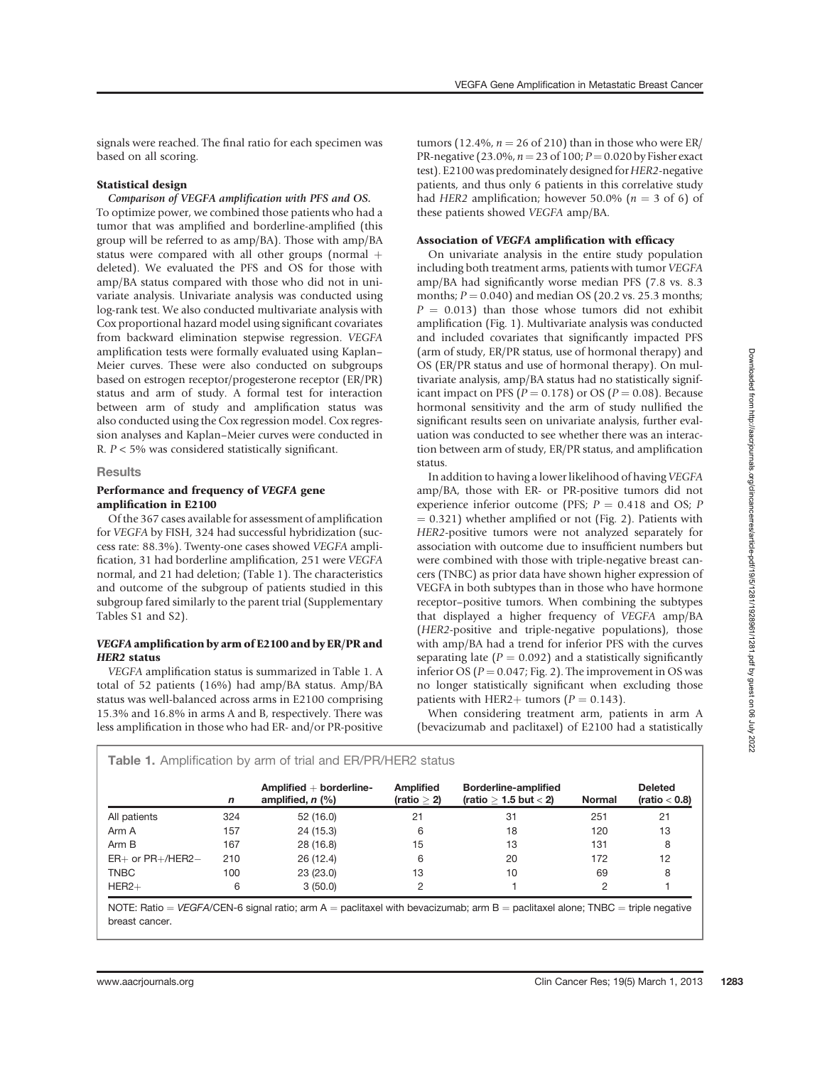signals were reached. The final ratio for each specimen was based on all scoring.

# Statistical design

Comparison of VEGFA amplification with PFS and OS. To optimize power, we combined those patients who had a tumor that was amplified and borderline-amplified (this group will be referred to as amp/BA). Those with amp/BA status were compared with all other groups (normal  $+$ deleted). We evaluated the PFS and OS for those with amp/BA status compared with those who did not in univariate analysis. Univariate analysis was conducted using log-rank test. We also conducted multivariate analysis with Cox proportional hazard model using significant covariates from backward elimination stepwise regression. VEGFA amplification tests were formally evaluated using Kaplan– Meier curves. These were also conducted on subgroups based on estrogen receptor/progesterone receptor (ER/PR) status and arm of study. A formal test for interaction between arm of study and amplification status was also conducted using the Cox regression model. Cox regression analyses and Kaplan–Meier curves were conducted in R.  $P < 5\%$  was considered statistically significant.

#### **Results**

### Performance and frequency of VEGFA gene amplification in E2100

Of the 367 cases available for assessment of amplification for VEGFA by FISH, 324 had successful hybridization (success rate: 88.3%). Twenty-one cases showed VEGFA amplification, 31 had borderline amplification, 251 were VEGFA normal, and 21 had deletion; (Table 1). The characteristics and outcome of the subgroup of patients studied in this subgroup fared similarly to the parent trial (Supplementary Tables S1 and S2).

# VEGFA amplification by arm of E2100 and by ER/PR and HER2 status

VEGFA amplification status is summarized in Table 1. A total of 52 patients (16%) had amp/BA status. Amp/BA status was well-balanced across arms in E2100 comprising 15.3% and 16.8% in arms A and B, respectively. There was less amplification in those who had ER- and/or PR-positive

tumors (12.4%,  $n = 26$  of 210) than in those who were ER/ PR-negative (23.0%,  $n = 23$  of 100;  $P = 0.020$  by Fisher exact test). E2100 was predominately designed for HER2-negative patients, and thus only 6 patients in this correlative study had HER2 amplification; however 50.0% ( $n = 3$  of 6) of these patients showed VEGFA amp/BA.

#### Association of VEGFA amplification with efficacy

On univariate analysis in the entire study population including both treatment arms, patients with tumor VEGFA amp/BA had significantly worse median PFS (7.8 vs. 8.3 months;  $P = 0.040$ ) and median OS (20.2 vs. 25.3 months;  $P = 0.013$ ) than those whose tumors did not exhibit amplification (Fig. 1). Multivariate analysis was conducted and included covariates that significantly impacted PFS (arm of study, ER/PR status, use of hormonal therapy) and OS (ER/PR status and use of hormonal therapy). On multivariate analysis, amp/BA status had no statistically significant impact on PFS ( $P = 0.178$ ) or OS ( $P = 0.08$ ). Because hormonal sensitivity and the arm of study nullified the significant results seen on univariate analysis, further evaluation was conducted to see whether there was an interaction between arm of study, ER/PR status, and amplification status.

In addition to having a lower likelihood of having VEGFA amp/BA, those with ER- or PR-positive tumors did not experience inferior outcome (PFS;  $P = 0.418$  and OS; P  $= 0.321$ ) whether amplified or not (Fig. 2). Patients with HER2-positive tumors were not analyzed separately for association with outcome due to insufficient numbers but were combined with those with triple-negative breast cancers (TNBC) as prior data have shown higher expression of VEGFA in both subtypes than in those who have hormone receptor–positive tumors. When combining the subtypes that displayed a higher frequency of VEGFA amp/BA (HER2-positive and triple-negative populations), those with amp/BA had a trend for inferior PFS with the curves separating late ( $P = 0.092$ ) and a statistically significantly inferior OS ( $P = 0.047$ ; Fig. 2). The improvement in OS was no longer statistically significant when excluding those patients with HER2+ tumors ( $P = 0.143$ ).

When considering treatment arm, patients in arm A (bevacizumab and paclitaxel) of E2100 had a statistically

|  |  |  |  |  |  |  |  | Table 1. Amplification by arm of trial and ER/PR/HER2 status |  |
|--|--|--|--|--|--|--|--|--------------------------------------------------------------|--|
|--|--|--|--|--|--|--|--|--------------------------------------------------------------|--|

|                      | n   | $Amplified + borderline-$<br>amplified, $n$ (%) | Amplified<br>(ratio $>$ 2) | Borderline-amplified<br>(ratio $> 1.5$ but $< 2$ ) | Normal | <b>Deleted</b><br>(ratio $< 0.8$ ) |
|----------------------|-----|-------------------------------------------------|----------------------------|----------------------------------------------------|--------|------------------------------------|
| All patients         | 324 | 52(16.0)                                        | 21                         | 31                                                 | 251    | 21                                 |
| Arm A                | 157 | 24 (15.3)                                       | 6                          | 18                                                 | 120    | 13                                 |
| Arm B                | 167 | 28(16.8)                                        | 15                         | 13                                                 | 131    | 8                                  |
| $ER+$ or $PR+/HER2-$ | 210 | 26(12.4)                                        | 6                          | 20                                                 | 172    | 12                                 |
| <b>TNBC</b>          | 100 | 23(23.0)                                        | 13                         | 10                                                 | 69     | 8                                  |
| $HER2+$              | 6   | 3(50.0)                                         | 2                          |                                                    | っ      |                                    |

NOTE: Ratio = VEGFA/CEN-6 signal ratio; arm A = paclitaxel with bevacizumab; arm B = paclitaxel alone; TNBC = triple negative breast cancer.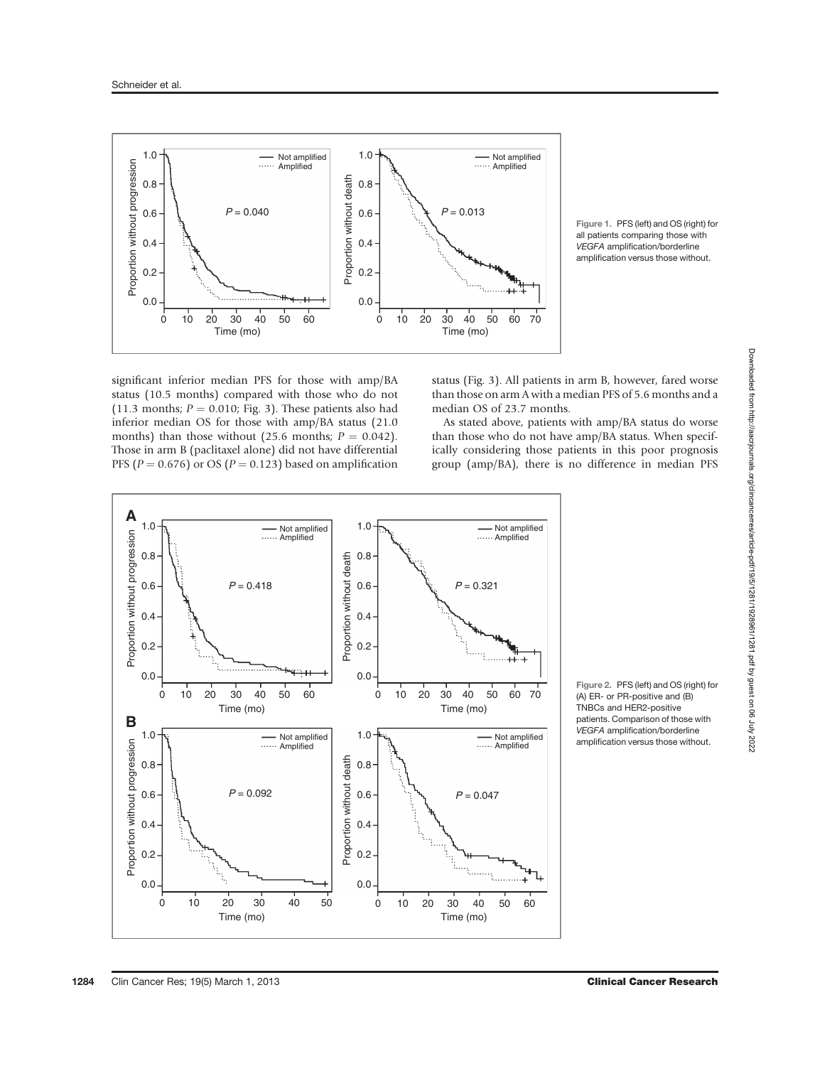

Figure 1. PFS (left) and OS (right) for all patients comparing those with VEGFA amplification/borderline amplification versus those without.

significant inferior median PFS for those with amp/BA status (10.5 months) compared with those who do not (11.3 months;  $P = 0.010$ ; Fig. 3). These patients also had inferior median OS for those with amp/BA status (21.0 months) than those without (25.6 months;  $P = 0.042$ ). Those in arm B (paclitaxel alone) did not have differential PFS ( $P = 0.676$ ) or OS ( $P = 0.123$ ) based on amplification

status (Fig. 3). All patients in arm B, however, fared worse than those on arm A with a median PFS of 5.6 months and a median OS of 23.7 months.

As stated above, patients with amp/BA status do worse than those who do not have amp/BA status. When specifically considering those patients in this poor prognosis group (amp/BA), there is no difference in median PFS



Figure 2. PFS (left) and OS (right) for (A) ER- or PR-positive and (B) TNBCs and HER2-positive patients. Comparison of those with VEGFA amplification/borderline amplification versus those without.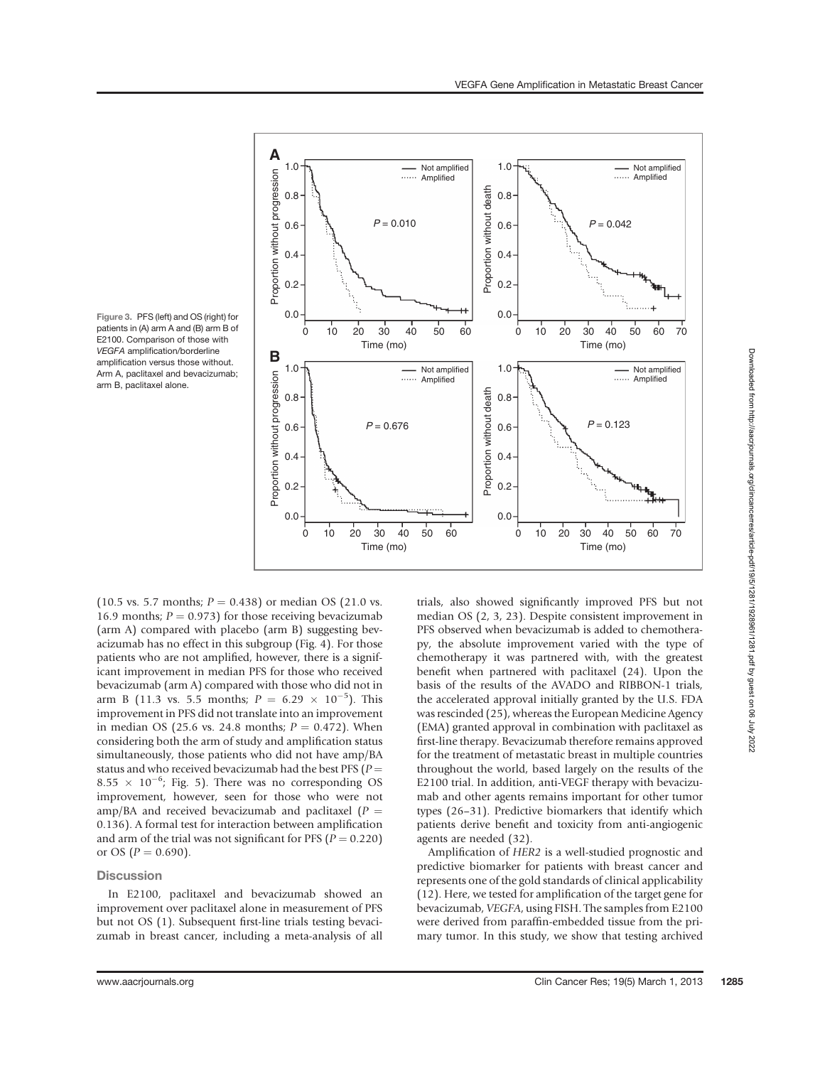

Figure 3. PFS (left) and OS (right) for patients in (A) arm A and (B) arm B of E2100. Comparison of those with VEGFA amplification/borderline amplification versus those without. Arm A, paclitaxel and bevacizumab; arm B, paclitaxel alone.

(10.5 vs. 5.7 months;  $P = 0.438$ ) or median OS (21.0 vs. 16.9 months;  $P = 0.973$ ) for those receiving bevacizumab (arm A) compared with placebo (arm B) suggesting bevacizumab has no effect in this subgroup (Fig. 4). For those patients who are not amplified, however, there is a significant improvement in median PFS for those who received bevacizumab (arm A) compared with those who did not in arm B (11.3 vs. 5.5 months;  $P = 6.29 \times 10^{-5}$ ). This improvement in PFS did not translate into an improvement in median OS (25.6 vs. 24.8 months;  $P = 0.472$ ). When considering both the arm of study and amplification status simultaneously, those patients who did not have amp/BA status and who received bevacizumab had the best PFS ( $P =$  $8.55 \times 10^{-6}$ ; Fig. 5). There was no corresponding OS improvement, however, seen for those who were not amp/BA and received bevacizumab and paclitaxel ( $P =$ 0.136). A formal test for interaction between amplification and arm of the trial was not significant for PFS ( $P = 0.220$ ) or OS ( $P = 0.690$ ).

#### **Discussion**

In E2100, paclitaxel and bevacizumab showed an improvement over paclitaxel alone in measurement of PFS but not OS (1). Subsequent first-line trials testing bevacizumab in breast cancer, including a meta-analysis of all trials, also showed significantly improved PFS but not median OS (2, 3, 23). Despite consistent improvement in PFS observed when bevacizumab is added to chemotherapy, the absolute improvement varied with the type of chemotherapy it was partnered with, with the greatest benefit when partnered with paclitaxel (24). Upon the basis of the results of the AVADO and RIBBON-1 trials, the accelerated approval initially granted by the U.S. FDA was rescinded (25), whereas the European Medicine Agency (EMA) granted approval in combination with paclitaxel as first-line therapy. Bevacizumab therefore remains approved for the treatment of metastatic breast in multiple countries throughout the world, based largely on the results of the E2100 trial. In addition, anti-VEGF therapy with bevacizumab and other agents remains important for other tumor types (26–31). Predictive biomarkers that identify which patients derive benefit and toxicity from anti-angiogenic agents are needed (32).

Amplification of HER2 is a well-studied prognostic and predictive biomarker for patients with breast cancer and represents one of the gold standards of clinical applicability (12). Here, we tested for amplification of the target gene for bevacizumab, VEGFA, using FISH. The samples from E2100 were derived from paraffin-embedded tissue from the primary tumor. In this study, we show that testing archived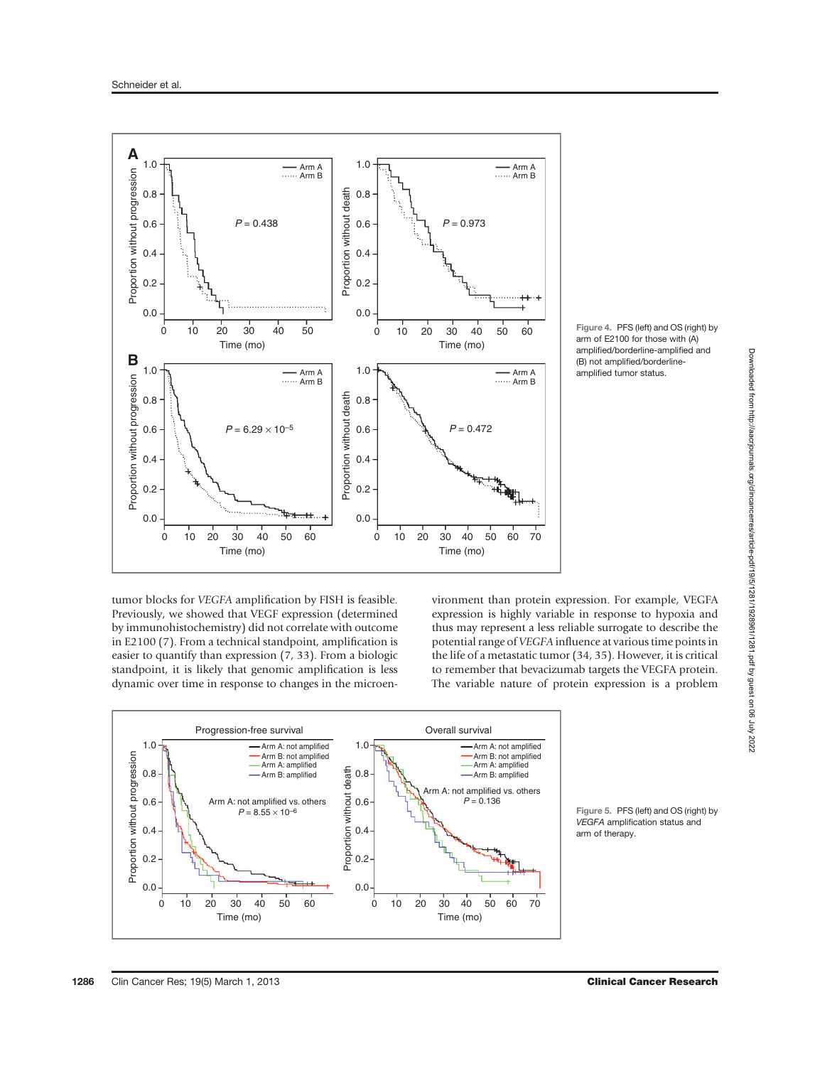

Figure 4. PFS (left) and OS (right) by arm of E2100 for those with (A) amplified/borderline-amplified and (B) not amplified/borderlineamplified tumor status.

tumor blocks for VEGFA amplification by FISH is feasible. Previously, we showed that VEGF expression (determined by immunohistochemistry) did not correlate with outcome in E2100 (7). From a technical standpoint, amplification is easier to quantify than expression (7, 33). From a biologic standpoint, it is likely that genomic amplification is less dynamic over time in response to changes in the microenvironment than protein expression. For example, VEGFA expression is highly variable in response to hypoxia and thus may represent a less reliable surrogate to describe the potential range of VEGFA influence at various time points in the life of a metastatic tumor (34, 35). However, it is critical to remember that bevacizumab targets the VEGFA protein. The variable nature of protein expression is a problem



Figure 5. PFS (left) and OS (right) by VEGFA amplification status and arm of therapy.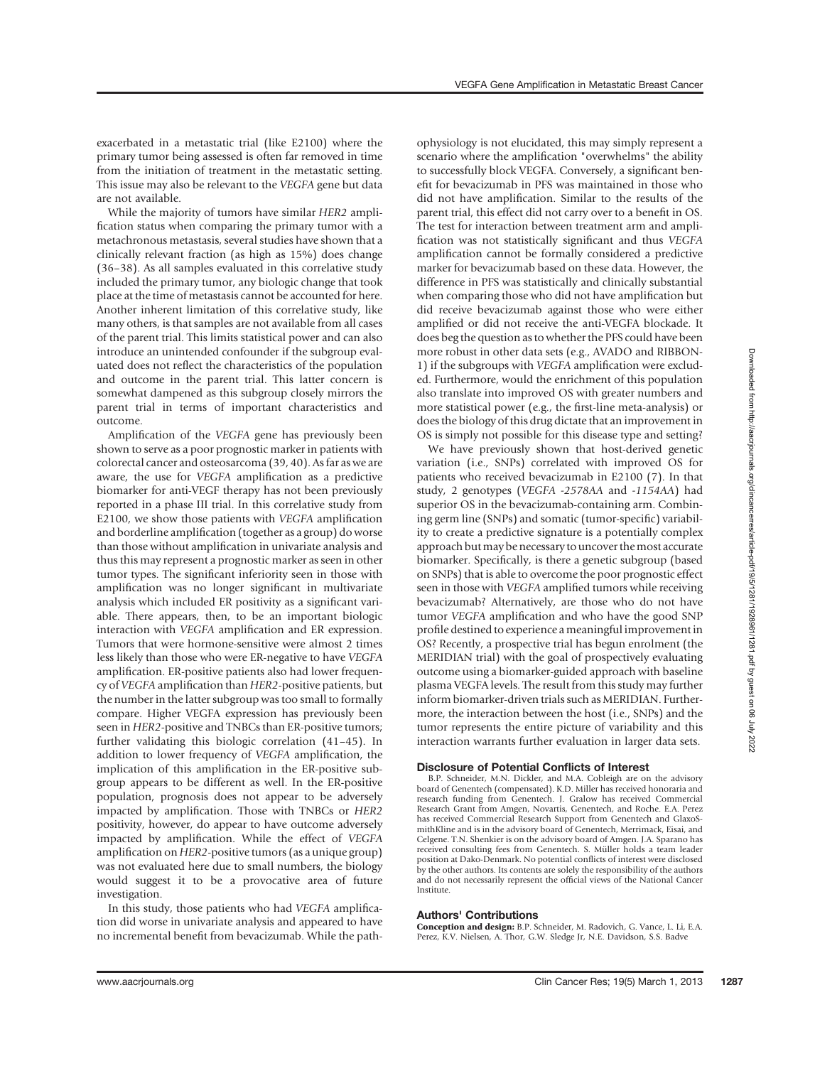While the majority of tumors have similar HER2 amplification status when comparing the primary tumor with a metachronous metastasis, several studies have shown that a clinically relevant fraction (as high as 15%) does change (36–38). As all samples evaluated in this correlative study included the primary tumor, any biologic change that took place at the time of metastasis cannot be accounted for here. Another inherent limitation of this correlative study, like many others, is that samples are not available from all cases of the parent trial. This limits statistical power and can also introduce an unintended confounder if the subgroup evaluated does not reflect the characteristics of the population and outcome in the parent trial. This latter concern is somewhat dampened as this subgroup closely mirrors the parent trial in terms of important characteristics and outcome.

Amplification of the VEGFA gene has previously been shown to serve as a poor prognostic marker in patients with colorectal cancer and osteosarcoma (39, 40). As far as we are aware, the use for VEGFA amplification as a predictive biomarker for anti-VEGF therapy has not been previously reported in a phase III trial. In this correlative study from E2100, we show those patients with VEGFA amplification and borderline amplification (together as a group) do worse than those without amplification in univariate analysis and thus this may represent a prognostic marker as seen in other tumor types. The significant inferiority seen in those with amplification was no longer significant in multivariate analysis which included ER positivity as a significant variable. There appears, then, to be an important biologic interaction with VEGFA amplification and ER expression. Tumors that were hormone-sensitive were almost 2 times less likely than those who were ER-negative to have VEGFA amplification. ER-positive patients also had lower frequency of VEGFA amplification than HER2-positive patients, but the number in the latter subgroup was too small to formally compare. Higher VEGFA expression has previously been seen in HER2-positive and TNBCs than ER-positive tumors; further validating this biologic correlation (41–45). In addition to lower frequency of VEGFA amplification, the implication of this amplification in the ER-positive subgroup appears to be different as well. In the ER-positive population, prognosis does not appear to be adversely impacted by amplification. Those with TNBCs or HER2 positivity, however, do appear to have outcome adversely impacted by amplification. While the effect of VEGFA amplification on HER2-positive tumors (as a unique group) was not evaluated here due to small numbers, the biology would suggest it to be a provocative area of future investigation.

In this study, those patients who had VEGFA amplification did worse in univariate analysis and appeared to have no incremental benefit from bevacizumab. While the pathophysiology is not elucidated, this may simply represent a scenario where the amplification "overwhelms" the ability to successfully block VEGFA. Conversely, a significant benefit for bevacizumab in PFS was maintained in those who did not have amplification. Similar to the results of the parent trial, this effect did not carry over to a benefit in OS. The test for interaction between treatment arm and amplification was not statistically significant and thus VEGFA amplification cannot be formally considered a predictive marker for bevacizumab based on these data. However, the difference in PFS was statistically and clinically substantial when comparing those who did not have amplification but did receive bevacizumab against those who were either amplified or did not receive the anti-VEGFA blockade. It does beg the question as to whether the PFS could have been more robust in other data sets (e.g., AVADO and RIBBON-1) if the subgroups with VEGFA amplification were excluded. Furthermore, would the enrichment of this population also translate into improved OS with greater numbers and more statistical power (e.g., the first-line meta-analysis) or does the biology of this drug dictate that an improvement in OS is simply not possible for this disease type and setting?

VEGFA Gene Amplification in Metastatic Breast Cancer

We have previously shown that host-derived genetic variation (i.e., SNPs) correlated with improved OS for patients who received bevacizumab in E2100 (7). In that study, 2 genotypes (VEGFA -2578AA and -1154AA) had superior OS in the bevacizumab-containing arm. Combining germ line (SNPs) and somatic (tumor-specific) variability to create a predictive signature is a potentially complex approach but may be necessary to uncover the most accurate biomarker. Specifically, is there a genetic subgroup (based on SNPs) that is able to overcome the poor prognostic effect seen in those with VEGFA amplified tumors while receiving bevacizumab? Alternatively, are those who do not have tumor VEGFA amplification and who have the good SNP profile destined to experience a meaningful improvement in OS? Recently, a prospective trial has begun enrolment (the MERIDIAN trial) with the goal of prospectively evaluating outcome using a biomarker-guided approach with baseline plasma VEGFA levels. The result from this study may further inform biomarker-driven trials such as MERIDIAN. Furthermore, the interaction between the host (i.e., SNPs) and the tumor represents the entire picture of variability and this interaction warrants further evaluation in larger data sets.

## Disclosure of Potential Conflicts of Interest

B.P. Schneider, M.N. Dickler, and M.A. Cobleigh are on the advisory board of Genentech (compensated). K.D. Miller has received honoraria and research funding from Genentech. J. Gralow has received Commercial Research Grant from Amgen, Novartis, Genentech, and Roche. E.A. Perez has received Commercial Research Support from Genentech and GlaxoSmithKline and is in the advisory board of Genentech, Merrimack, Eisai, and Celgene. T.N. Shenkier is on the advisory board of Amgen. J.A. Sparano has received consulting fees from Genentech. S. Müller holds a team leader position at Dako-Denmark. No potential conflicts of interest were disclosed by the other authors. Its contents are solely the responsibility of the authors and do not necessarily represent the official views of the National Cancer Institute.

# Authors' Contributions

Conception and design: B.P. Schneider, M. Radovich, G. Vance, L. Li, E.A. Perez, K.V. Nielsen, A. Thor, G.W. Sledge Jr, N.E. Davidson, S.S. Badve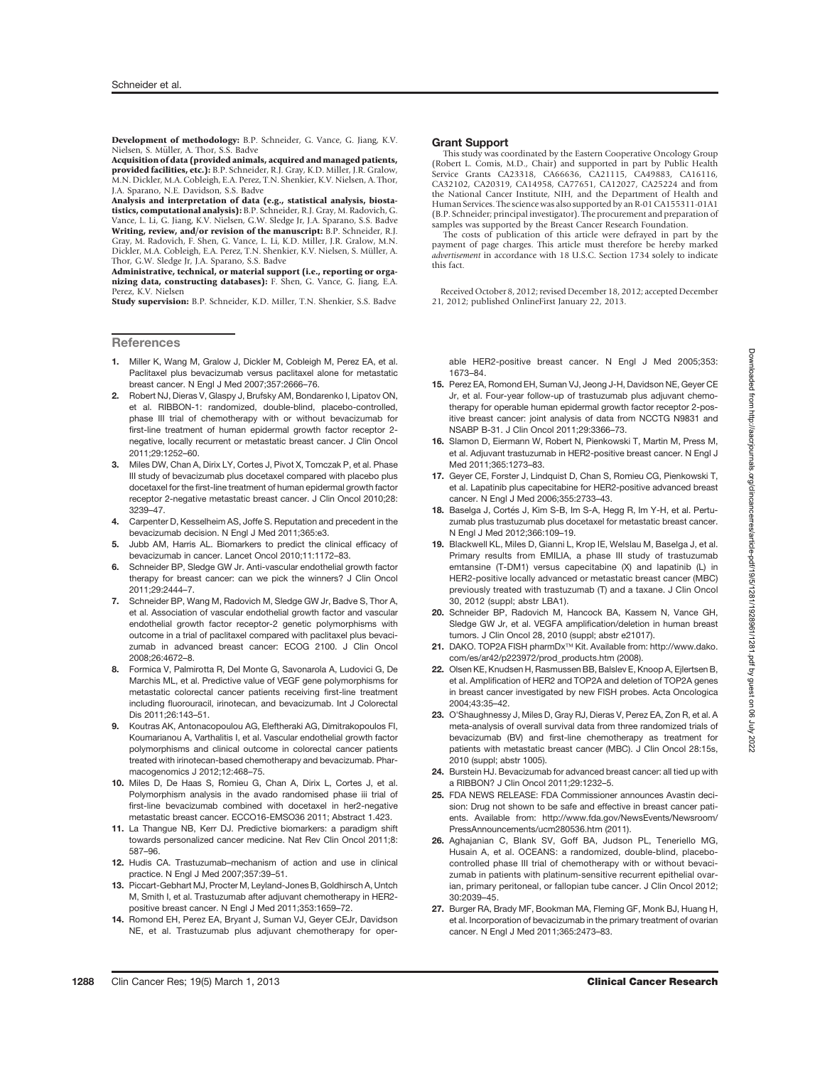Development of methodology: B.P. Schneider, G. Vance, G. Jiang, K.V. Nielsen, S. Müller, A. Thor, S.S. Badve

Acquisition of data (provided animals, acquired and managed patients, provided facilities, etc.): B.P. Schneider, R.J. Gray, K.D. Miller, J.R. Gralow, M.N. Dickler, M.A. Cobleigh, E.A. Perez, T.N. Shenkier, K.V. Nielsen, A. Thor, J.A. Sparano, N.E. Davidson, S.S. Badve

Analysis and interpretation of data (e.g., statistical analysis, biostatistics, computational analysis): B.P. Schneider, R.J. Gray, M. Radovich, G. Vance, L. Li, G. Jiang, K.V. Nielsen, G.W. Sledge Jr, J.A. Sparano, S.S. Badve Writing, review, and/or revision of the manuscript: B.P. Schneider, R.J. Gray, M. Radovich, F. Shen, G. Vance, L. Li, K.D. Miller, J.R. Gralow, M.N. Dickler, M.A. Cobleigh, E.A. Perez, T.N. Shenkier, K.V. Nielsen, S. Müller, A. Thor, G.W. Sledge Jr, J.A. Sparano, S.S. Badve

Administrative, technical, or material support (i.e., reporting or organizing data, constructing databases): F. Shen, G. Vance, G. Jiang, E.A. Perez, K.V. Nielsen

Study supervision: B.P. Schneider, K.D. Miller, T.N. Shenkier, S.S. Badve

#### **References**

- 1. Miller K, Wang M, Gralow J, Dickler M, Cobleigh M, Perez EA, et al. Paclitaxel plus bevacizumab versus paclitaxel alone for metastatic breast cancer. N Engl J Med 2007;357:2666–76.
- 2. Robert NJ, Dieras V, Glaspy J, Brufsky AM, Bondarenko I, Lipatov ON, et al. RIBBON-1: randomized, double-blind, placebo-controlled, phase III trial of chemotherapy with or without bevacizumab for first-line treatment of human epidermal growth factor receptor 2 negative, locally recurrent or metastatic breast cancer. J Clin Oncol 2011;29:1252–60.
- 3. Miles DW, Chan A, Dirix LY, Cortes J, Pivot X, Tomczak P, et al. Phase III study of bevacizumab plus docetaxel compared with placebo plus docetaxel for the first-line treatment of human epidermal growth factor receptor 2-negative metastatic breast cancer. J Clin Oncol 2010;28: 3239–47.
- 4. Carpenter D, Kesselheim AS, Joffe S. Reputation and precedent in the bevacizumab decision. N Engl J Med 2011;365:e3.
- 5. Jubb AM, Harris AL. Biomarkers to predict the clinical efficacy of bevacizumab in cancer. Lancet Oncol 2010;11:1172–83.
- 6. Schneider BP, Sledge GW Jr. Anti-vascular endothelial growth factor therapy for breast cancer: can we pick the winners? J Clin Oncol 2011;29:2444–7.
- 7. Schneider BP, Wang M, Radovich M, Sledge GW Jr, Badve S, Thor A, et al. Association of vascular endothelial growth factor and vascular endothelial growth factor receptor-2 genetic polymorphisms with outcome in a trial of paclitaxel compared with paclitaxel plus bevacizumab in advanced breast cancer: ECOG 2100. J Clin Oncol 2008;26:4672–8.
- 8. Formica V, Palmirotta R, Del Monte G, Savonarola A, Ludovici G, De Marchis ML, et al. Predictive value of VEGF gene polymorphisms for metastatic colorectal cancer patients receiving first-line treatment including fluorouracil, irinotecan, and bevacizumab. Int J Colorectal Dis 2011;26:143–51.
- 9. Koutras AK, Antonacopoulou AG, Eleftheraki AG, Dimitrakopoulos FI, Koumarianou A, Varthalitis I, et al. Vascular endothelial growth factor polymorphisms and clinical outcome in colorectal cancer patients treated with irinotecan-based chemotherapy and bevacizumab. Pharmacogenomics J 2012;12:468–75.
- 10. Miles D, De Haas S, Romieu G, Chan A, Dirix L, Cortes J, et al. Polymorphism analysis in the avado randomised phase iii trial of first-line bevacizumab combined with docetaxel in her2-negative metastatic breast cancer. ECCO16-EMSO36 2011; Abstract 1.423.
- 11. La Thangue NB, Kerr DJ, Predictive biomarkers: a paradigm shift towards personalized cancer medicine. Nat Rev Clin Oncol 2011;8: 587–96.
- 12. Hudis CA. Trastuzumab–mechanism of action and use in clinical practice. N Engl J Med 2007;357:39–51.
- 13. Piccart-Gebhart MJ, Procter M, Leyland-Jones B, Goldhirsch A, Untch M, Smith I, et al. Trastuzumab after adjuvant chemotherapy in HER2 positive breast cancer. N Engl J Med 2011;353:1659–72.
- 14. Romond EH, Perez EA, Bryant J, Suman VJ, Geyer CEJr, Davidson NE, et al. Trastuzumab plus adiuvant chemotherapy for oper-

#### Grant Support

This study was coordinated by the Eastern Cooperative Oncology Group (Robert L. Comis, M.D., Chair) and supported in part by Public Health Service Grants CA23318, CA66636, CA21115, CA49883, CA16116, CA32102, CA20319, CA14958, CA77651, CA12027, CA25224 and from the National Cancer Institute, NIH, and the Department of Health and Human Services. The science was also supported by an R-01 CA155311-01A1 (B.P. Schneider; principal investigator). The procurement and preparation of samples was supported by the Breast Cancer Research Foundation.

The costs of publication of this article were defrayed in part by the payment of page charges. This article must therefore be hereby marked advertisement in accordance with 18 U.S.C. Section 1734 solely to indicate this fact.

Received October 8, 2012; revised December 18, 2012; accepted December 21, 2012; published OnlineFirst January 22, 2013.

able HER2-positive breast cancer. N Engl J Med 2005;353: 1673–84.

- 15. Perez EA, Romond EH, Suman VJ, Jeong J-H, Davidson NE, Geyer CE Jr, et al. Four-year follow-up of trastuzumab plus adjuvant chemotherapy for operable human epidermal growth factor receptor 2-positive breast cancer: joint analysis of data from NCCTG N9831 and NSABP B-31. J Clin Oncol 2011;29:3366–73.
- 16. Slamon D, Eiermann W, Robert N, Pienkowski T, Martin M, Press M, et al. Adjuvant trastuzumab in HER2-positive breast cancer. N Engl J Med 2011;365:1273–83.
- 17. Geyer CE, Forster J, Lindquist D, Chan S, Romieu CG, Pienkowski T, et al. Lapatinib plus capecitabine for HER2-positive advanced breast cancer. N Engl J Med 2006;355:2733–43.
- 18. Baselga J, Cortés J, Kim S-B, Im S-A, Hegg R, Im Y-H, et al. Pertuzumab plus trastuzumab plus docetaxel for metastatic breast cancer. N Engl J Med 2012;366:109–19.
- 19. Blackwell KL, Miles D, Gianni L, Krop IE, Welslau M, Baselga J, et al. Primary results from EMILIA, a phase III study of trastuzumab emtansine (T-DM1) versus capecitabine (X) and lapatinib (L) in HER2-positive locally advanced or metastatic breast cancer (MBC) previously treated with trastuzumab (T) and a taxane. J Clin Oncol 30, 2012 (suppl; abstr LBA1).
- 20. Schneider BP, Radovich M, Hancock BA, Kassem N, Vance GH, Sledge GW Jr, et al. VEGFA amplification/deletion in human breast tumors. J Clin Oncol 28, 2010 (suppl; abstr e21017).
- 21. DAKO. TOP2A FISH pharmDx™ Kit. Available from: http://www.dako. com/es/ar42/p223972/prod\_products.htm (2008).
- 22. Olsen KE, Knudsen H, Rasmussen BB, Balslev E, Knoop A, Ejlertsen B, et al. Amplification of HER2 and TOP2A and deletion of TOP2A genes in breast cancer investigated by new FISH probes. Acta Oncologica 2004;43:35–42.
- 23. O'Shaughnessy J, Miles D, Gray RJ, Dieras V, Perez EA, Zon R, et al. A meta-analysis of overall survival data from three randomized trials of bevacizumab (BV) and first-line chemotherapy as treatment for patients with metastatic breast cancer (MBC). J Clin Oncol 28:15s, 2010 (suppl; abstr 1005).
- 24. Burstein HJ. Bevacizumab for advanced breast cancer: all tied up with a RIBBON? J Clin Oncol 2011;29:1232–5.
- 25. FDA NEWS RELEASE: FDA Commissioner announces Avastin decision: Drug not shown to be safe and effective in breast cancer patients. Available from: http://www.fda.gov/NewsEvents/Newsroom/ PressAnnouncements/ucm280536.htm (2011).
- 26. Aghajanian C, Blank SV, Goff BA, Judson PL, Teneriello MG, Husain A, et al. OCEANS: a randomized, double-blind, placebocontrolled phase III trial of chemotherapy with or without bevacizumab in patients with platinum-sensitive recurrent epithelial ovarian, primary peritoneal, or fallopian tube cancer. J Clin Oncol 2012; 30:2039–45.
- 27. Burger RA, Brady MF, Bookman MA, Fleming GF, Monk BJ, Huang H, et al. Incorporation of bevacizumab in the primary treatment of ovarian cancer. N Engl J Med 2011;365:2473–83.